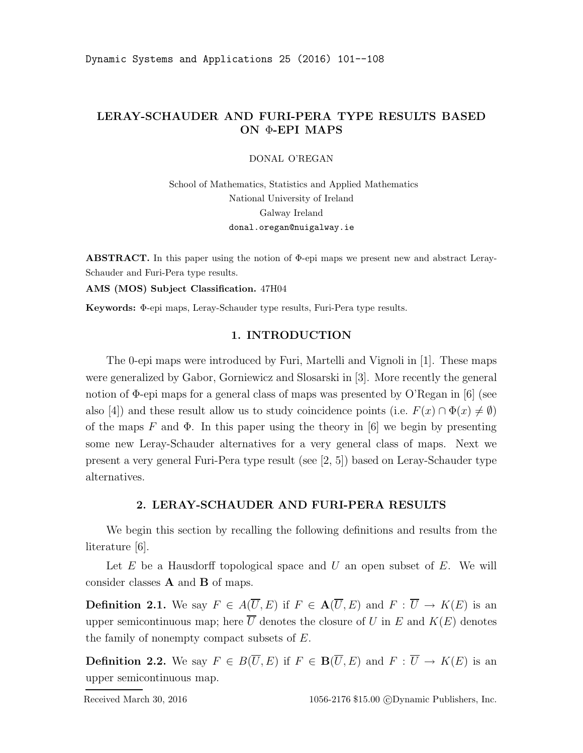## LERAY-SCHAUDER AND FURI-PERA TYPE RESULTS BASED ON Φ-EPI MAPS

DONAL O'REGAN

School of Mathematics, Statistics and Applied Mathematics National University of Ireland Galway Ireland donal.oregan@nuigalway.ie

ABSTRACT. In this paper using the notion of Φ-epi maps we present new and abstract Leray-Schauder and Furi-Pera type results.

AMS (MOS) Subject Classification. 47H04

Keywords: Φ-epi maps, Leray-Schauder type results, Furi-Pera type results.

## 1. INTRODUCTION

The 0-epi maps were introduced by Furi, Martelli and Vignoli in [1]. These maps were generalized by Gabor, Gorniewicz and Slosarski in [3]. More recently the general notion of Φ-epi maps for a general class of maps was presented by O'Regan in [6] (see also [4]) and these result allow us to study coincidence points (i.e.  $F(x) \cap \Phi(x) \neq \emptyset$ ) of the maps F and  $\Phi$ . In this paper using the theory in [6] we begin by presenting some new Leray-Schauder alternatives for a very general class of maps. Next we present a very general Furi-Pera type result (see [2, 5]) based on Leray-Schauder type alternatives.

## 2. LERAY-SCHAUDER AND FURI-PERA RESULTS

We begin this section by recalling the following definitions and results from the literature [6].

Let  $E$  be a Hausdorff topological space and  $U$  an open subset of  $E$ . We will consider classes A and B of maps.

**Definition 2.1.** We say  $F \in A(\overline{U}, E)$  if  $F \in A(\overline{U}, E)$  and  $F : \overline{U} \to K(E)$  is an upper semicontinuous map; here  $\overline{U}$  denotes the closure of U in E and  $K(E)$  denotes the family of nonempty compact subsets of  $E$ .

**Definition 2.2.** We say  $F \in B(\overline{U}, E)$  if  $F \in B(\overline{U}, E)$  and  $F : \overline{U} \to K(E)$  is an upper semicontinuous map.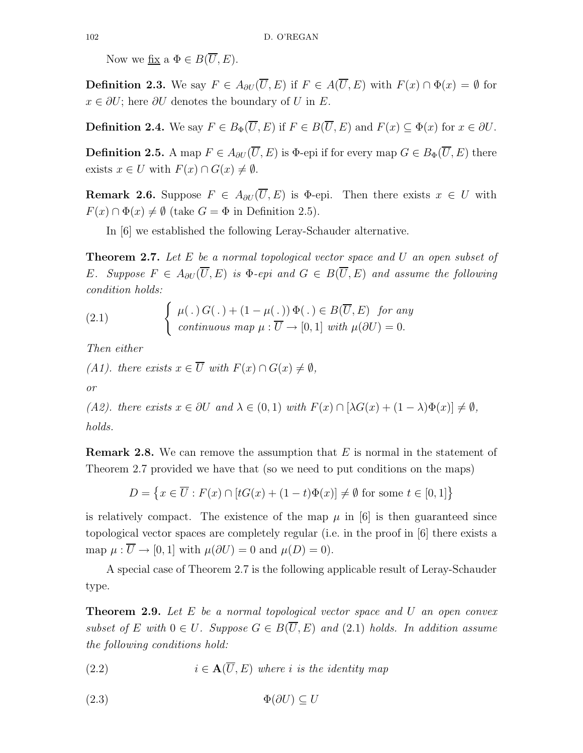Now we fix a  $\Phi \in B(\overline{U}, E)$ .

**Definition 2.3.** We say  $F \in A_{\partial U}(\overline{U}, E)$  if  $F \in A(\overline{U}, E)$  with  $F(x) \cap \Phi(x) = \emptyset$  for  $x \in \partial U$ ; here  $\partial U$  denotes the boundary of U in E.

**Definition 2.4.** We say  $F \in B_{\Phi}(\overline{U}, E)$  if  $F \in B(\overline{U}, E)$  and  $F(x) \subset \Phi(x)$  for  $x \in \partial U$ .

**Definition 2.5.** A map  $F \in A_{\partial U}(\overline{U}, E)$  is  $\Phi$ -epi if for every map  $G \in B_{\Phi}(\overline{U}, E)$  there exists  $x \in U$  with  $F(x) \cap G(x) \neq \emptyset$ .

**Remark 2.6.** Suppose  $F \in A_{\partial U}(\overline{U}, E)$  is  $\Phi$ -epi. Then there exists  $x \in U$  with  $F(x) \cap \Phi(x) \neq \emptyset$  (take  $G = \Phi$  in Definition 2.5).

In [6] we established the following Leray-Schauder alternative.

**Theorem 2.7.** Let  $E$  be a normal topological vector space and U an open subset of E. Suppose  $F \in A_{\partial U}(\overline{U}, E)$  is  $\Phi$ -epi and  $G \in B(\overline{U}, E)$  and assume the following condition holds:

(2.1) 
$$
\begin{cases} \mu(.) G(.) + (1 - \mu(.)) \Phi(.) \in B(\overline{U}, E) \text{ for any} \\ \text{continuous map } \mu : \overline{U} \to [0, 1] \text{ with } \mu(\partial U) = 0. \end{cases}
$$

Then either

(A1). there exists  $x \in \overline{U}$  with  $F(x) \cap G(x) \neq \emptyset$ ,

or

(A2). there exists  $x \in \partial U$  and  $\lambda \in (0,1)$  with  $F(x) \cap [\lambda G(x) + (1-\lambda)\Phi(x)] \neq \emptyset$ , holds.

**Remark 2.8.** We can remove the assumption that  $E$  is normal in the statement of Theorem 2.7 provided we have that (so we need to put conditions on the maps)

$$
D = \left\{ x \in \overline{U} : F(x) \cap [tG(x) + (1-t)\Phi(x)] \neq \emptyset \text{ for some } t \in [0,1] \right\}
$$

is relatively compact. The existence of the map  $\mu$  in [6] is then guaranteed since topological vector spaces are completely regular (i.e. in the proof in [6] there exists a map  $\mu : \overline{U} \to [0, 1]$  with  $\mu(\partial U) = 0$  and  $\mu(D) = 0$ .

A special case of Theorem 2.7 is the following applicable result of Leray-Schauder type.

**Theorem 2.9.** Let  $E$  be a normal topological vector space and  $U$  an open convex subset of E with  $0 \in U$ . Suppose  $G \in B(\overline{U}, E)$  and  $(2.1)$  holds. In addition assume the following conditions hold:

(2.2) 
$$
i \in \mathbf{A}(\overline{U}, E)
$$
 where *i* is the identity map

$$
(2.3) \t\t \t\t \Phi(\partial U) \subseteq U
$$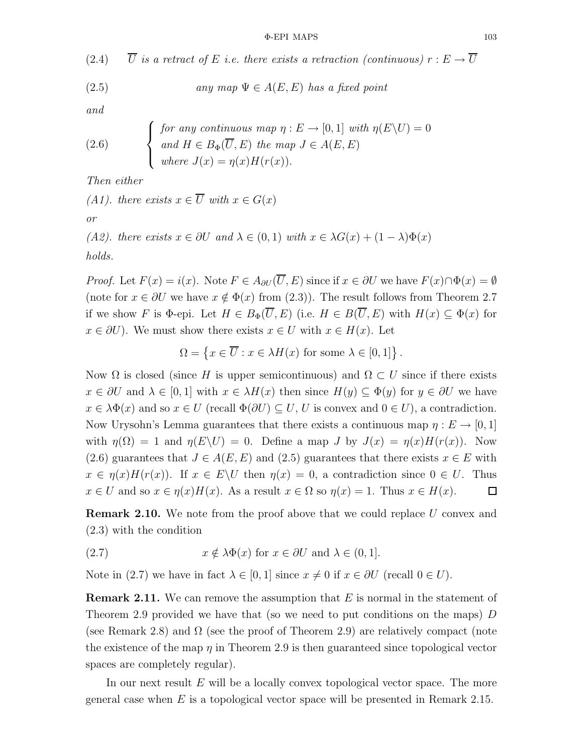(2.4)  $\overline{U}$  is a retract of E i.e. there exists a retraction (continuous)  $r : E \to \overline{U}$ 

(2.5) *any map* 
$$
\Psi \in A(E, E)
$$
 *has a fixed point*

and

(2.6) 
$$
\begin{cases} \text{for any continuous map } \eta : E \to [0,1] \text{ with } \eta(E \setminus U) = 0 \\ \text{and } H \in B_{\Phi}(\overline{U}, E) \text{ the map } J \in A(E, E) \\ \text{where } J(x) = \eta(x)H(r(x)). \end{cases}
$$

Then either

(A1). there exists  $x \in \overline{U}$  with  $x \in G(x)$ or

(A2). there exists  $x \in \partial U$  and  $\lambda \in (0,1)$  with  $x \in \lambda G(x) + (1-\lambda)\Phi(x)$ holds.

*Proof.* Let  $F(x) = i(x)$ . Note  $F \in A_{\partial U}(\overline{U}, E)$  since if  $x \in \partial U$  we have  $F(x) \cap \Phi(x) = \emptyset$ (note for  $x \in \partial U$  we have  $x \notin \Phi(x)$  from (2.3)). The result follows from Theorem 2.7 if we show F is  $\Phi$ -epi. Let  $H \in B_{\Phi}(\overline{U}, E)$  (i.e.  $H \in B(\overline{U}, E)$  with  $H(x) \subseteq \Phi(x)$  for  $x \in \partial U$ ). We must show there exists  $x \in U$  with  $x \in H(x)$ . Let

$$
\Omega = \left\{ x \in \overline{U} : x \in \lambda H(x) \text{ for some } \lambda \in [0,1] \right\}.
$$

Now  $\Omega$  is closed (since H is upper semicontinuous) and  $\Omega \subset U$  since if there exists  $x \in \partial U$  and  $\lambda \in [0,1]$  with  $x \in \lambda H(x)$  then since  $H(y) \subseteq \Phi(y)$  for  $y \in \partial U$  we have  $x \in \lambda \Phi(x)$  and so  $x \in U$  (recall  $\Phi(\partial U) \subseteq U, U$  is convex and  $0 \in U$ ), a contradiction. Now Urysohn's Lemma guarantees that there exists a continuous map  $\eta : E \to [0,1]$ with  $\eta(\Omega) = 1$  and  $\eta(E \setminus U) = 0$ . Define a map J by  $J(x) = \eta(x)H(r(x))$ . Now (2.6) guarantees that  $J \in A(E, E)$  and (2.5) guarantees that there exists  $x \in E$  with  $x \in \eta(x)H(r(x))$ . If  $x \in E\setminus U$  then  $\eta(x) = 0$ , a contradiction since  $0 \in U$ . Thus  $x \in U$  and so  $x \in \eta(x)H(x)$ . As a result  $x \in \Omega$  so  $\eta(x) = 1$ . Thus  $x \in H(x)$ .  $\Box$ 

**Remark 2.10.** We note from the proof above that we could replace U convex and (2.3) with the condition

(2.7) 
$$
x \notin \lambda \Phi(x) \text{ for } x \in \partial U \text{ and } \lambda \in (0,1].
$$

Note in (2.7) we have in fact  $\lambda \in [0,1]$  since  $x \neq 0$  if  $x \in \partial U$  (recall  $0 \in U$ ).

**Remark 2.11.** We can remove the assumption that  $E$  is normal in the statement of Theorem 2.9 provided we have that (so we need to put conditions on the maps) D (see Remark 2.8) and  $\Omega$  (see the proof of Theorem 2.9) are relatively compact (note the existence of the map  $\eta$  in Theorem 2.9 is then guaranteed since topological vector spaces are completely regular).

In our next result E will be a locally convex topological vector space. The more general case when  $E$  is a topological vector space will be presented in Remark 2.15.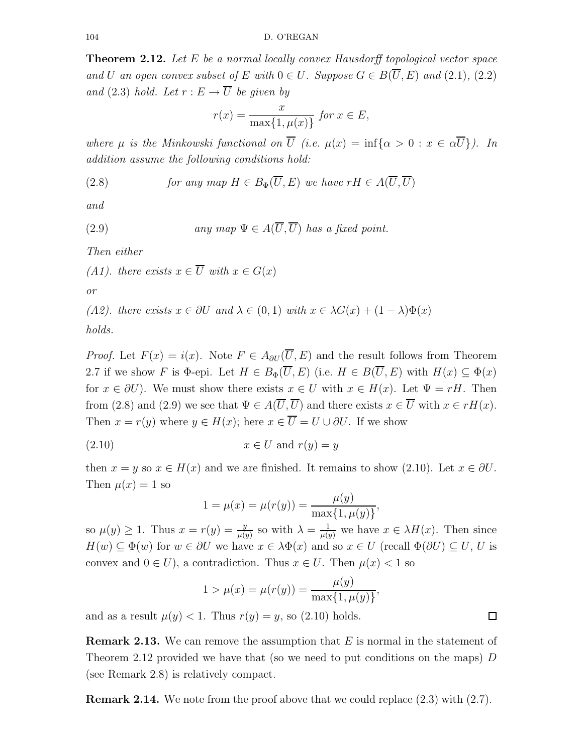Theorem 2.12. Let E be a normal locally convex Hausdorff topological vector space and U an open convex subset of E with  $0 \in U$ . Suppose  $G \in B(\overline{U}, E)$  and  $(2.1)$ ,  $(2.2)$ and (2.3) hold. Let  $r : E \to \overline{U}$  be given by

$$
r(x) = \frac{x}{\max\{1, \mu(x)\}} \text{ for } x \in E,
$$

where  $\mu$  is the Minkowski functional on  $\overline{U}$  (i.e.  $\mu(x) = \inf{\alpha > 0 : x \in \alpha \overline{U}}$ ). In addition assume the following conditions hold:

(2.8) *for any map* 
$$
H \in B_{\Phi}(\overline{U}, E)
$$
 *we have*  $rH \in A(\overline{U}, \overline{U})$ 

and

(2.9) *any map* 
$$
\Psi \in A(\overline{U}, \overline{U})
$$
 *has a fixed point.*

Then either

(A1). there exists  $x \in \overline{U}$  with  $x \in G(x)$ 

or

(A2). there exists  $x \in \partial U$  and  $\lambda \in (0,1)$  with  $x \in \lambda G(x) + (1-\lambda)\Phi(x)$ 

holds.

*Proof.* Let  $F(x) = i(x)$ . Note  $F \in A_{\partial U}(\overline{U}, E)$  and the result follows from Theorem 2.7 if we show F is  $\Phi$ -epi. Let  $H \in B_{\Phi}(\overline{U}, E)$  (i.e.  $H \in B(\overline{U}, E)$  with  $H(x) \subseteq \Phi(x)$ for  $x \in \partial U$ ). We must show there exists  $x \in U$  with  $x \in H(x)$ . Let  $\Psi = rH$ . Then from (2.8) and (2.9) we see that  $\Psi \in A(\overline{U}, \overline{U})$  and there exists  $x \in \overline{U}$  with  $x \in rH(x)$ . Then  $x = r(y)$  where  $y \in H(x)$ ; here  $x \in \overline{U} = U \cup \partial U$ . If we show

$$
(2.10) \t\t x \in U \t and \t r(y) = y
$$

then  $x = y$  so  $x \in H(x)$  and we are finished. It remains to show (2.10). Let  $x \in \partial U$ . Then  $\mu(x) = 1$  so

$$
1 = \mu(x) = \mu(r(y)) = \frac{\mu(y)}{\max\{1, \mu(y)\}},
$$

so  $\mu(y) \geq 1$ . Thus  $x = r(y) = \frac{y}{\mu(y)}$  so with  $\lambda = \frac{1}{\mu(y)}$  we have  $x \in \lambda H(x)$ . Then since  $H(w) \subseteq \Phi(w)$  for  $w \in \partial U$  we have  $x \in \lambda \Phi(x)$  and so  $x \in U$  (recall  $\Phi(\partial U) \subseteq U, U$  is convex and  $0 \in U$ , a contradiction. Thus  $x \in U$ . Then  $\mu(x) < 1$  so

$$
1 > \mu(x) = \mu(r(y)) = \frac{\mu(y)}{\max\{1, \mu(y)\}},
$$

and as a result  $\mu(y) < 1$ . Thus  $r(y) = y$ , so (2.10) holds.

**Remark 2.13.** We can remove the assumption that  $E$  is normal in the statement of Theorem 2.12 provided we have that (so we need to put conditions on the maps)  $D$ (see Remark 2.8) is relatively compact.

**Remark 2.14.** We note from the proof above that we could replace (2.3) with (2.7).

口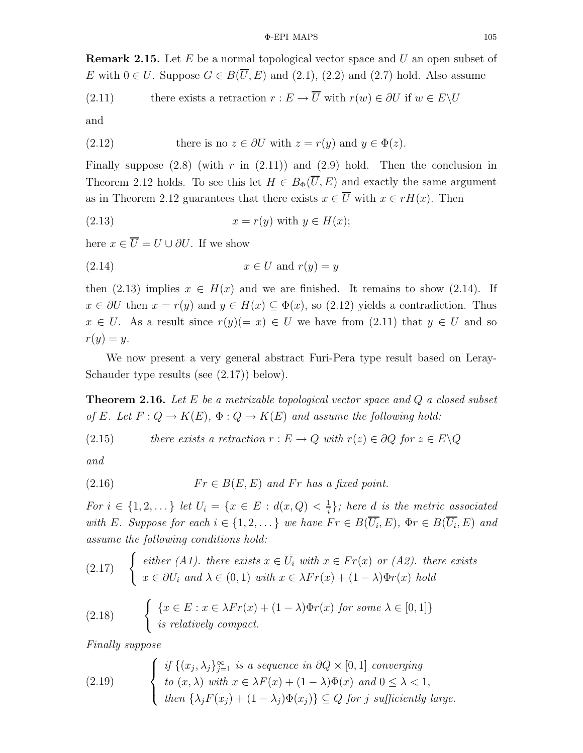**Remark 2.15.** Let  $E$  be a normal topological vector space and  $U$  an open subset of E with  $0 \in U$ . Suppose  $G \in B(\overline{U}, E)$  and  $(2.1)$ ,  $(2.2)$  and  $(2.7)$  hold. Also assume

(2.11) there exists a retraction 
$$
r : E \to \overline{U}
$$
 with  $r(w) \in \partial U$  if  $w \in E \setminus U$ 

and

(2.12) there is no 
$$
z \in \partial U
$$
 with  $z = r(y)$  and  $y \in \Phi(z)$ .

Finally suppose  $(2.8)$  (with r in  $(2.11)$ ) and  $(2.9)$  hold. Then the conclusion in Theorem 2.12 holds. To see this let  $H \in B_{\Phi}(\overline{U}, E)$  and exactly the same argument as in Theorem 2.12 guarantees that there exists  $x \in \overline{U}$  with  $x \in rH(x)$ . Then

$$
(2.13) \t\t x = r(y) \t with \t y \in H(x);
$$

here  $x \in \overline{U} = U \cup \partial U$ . If we show

$$
(2.14) \t\t x \in U \text{ and } r(y) = y
$$

then (2.13) implies  $x \in H(x)$  and we are finished. It remains to show (2.14). If  $x \in \partial U$  then  $x = r(y)$  and  $y \in H(x) \subseteq \Phi(x)$ , so (2.12) yields a contradiction. Thus  $x \in U$ . As a result since  $r(y) (= x) \in U$  we have from (2.11) that  $y \in U$  and so  $r(y) = y.$ 

We now present a very general abstract Furi-Pera type result based on Leray-Schauder type results (see  $(2.17)$ ) below).

**Theorem 2.16.** Let E be a metrizable topological vector space and  $Q$  a closed subset of E. Let  $F: Q \to K(E)$ ,  $\Phi: Q \to K(E)$  and assume the following hold:

(2.15) *there exists a retraction* 
$$
r : E \to Q
$$
 *with*  $r(z) \in \partial Q$  *for*  $z \in E \setminus Q$ 

and

$$
(2.16) \t Fr \in B(E, E) \t and Fr \t has a fixed point.
$$

For  $i \in \{1, 2, ...\}$  let  $U_i = \{x \in E : d(x, Q) < \frac{1}{i}\}$  $\frac{1}{i}$ }; here d is the metric associated with E. Suppose for each  $i \in \{1, 2, \dots\}$  we have  $Fr \in B(U_i, E)$ ,  $\Phi r \in B(U_i, E)$  and assume the following conditions hold:

(2.17) 
$$
\begin{cases} either (A1). \ there exists  $x \in \overline{U_i} \text{ with } x \in Fr(x) \text{ or } (A2). \text{ there exists } x \in \partial U_i \text{ and } \lambda \in (0,1) \text{ with } x \in \lambda Fr(x) + (1-\lambda)\Phi r(x) \text{ hold} \end{cases}$
$$

(2.18) 
$$
\begin{cases} \{x \in E : x \in \lambda Fr(x) + (1 - \lambda) \Phi r(x) \text{ for some } \lambda \in [0, 1] \} \\ \text{ is relatively compact.} \end{cases}
$$

Finally suppose

(2.19) 
$$
\begin{cases} \text{if } \{(x_j, \lambda_j\}_{j=1}^{\infty} \text{ is a sequence in } \partial Q \times [0,1] \text{ converging} \\ \text{to } (x,\lambda) \text{ with } x \in \lambda F(x) + (1-\lambda)\Phi(x) \text{ and } 0 \leq \lambda < 1, \\ \text{then } \{\lambda_j F(x_j) + (1-\lambda_j)\Phi(x_j)\} \subseteq Q \text{ for } j \text{ sufficiently large.} \end{cases}
$$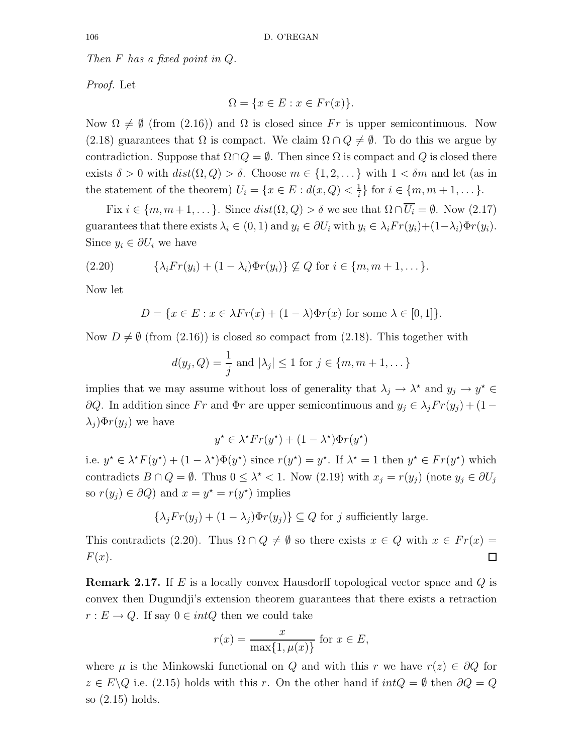Then F has a fixed point in Q.

Proof. Let

$$
\Omega = \{ x \in E : x \in Fr(x) \}.
$$

Now  $\Omega \neq \emptyset$  (from (2.16)) and  $\Omega$  is closed since Fr is upper semicontinuous. Now (2.18) guarantees that  $\Omega$  is compact. We claim  $\Omega \cap Q \neq \emptyset$ . To do this we argue by contradiction. Suppose that  $\Omega \cap Q = \emptyset$ . Then since  $\Omega$  is compact and Q is closed there exists  $\delta > 0$  with  $dist(\Omega, Q) > \delta$ . Choose  $m \in \{1, 2, \dots\}$  with  $1 < \delta m$  and let (as in the statement of the theorem)  $U_i = \{x \in E : d(x, Q) < \frac{1}{i}\}$  $\frac{1}{i}$  for  $i \in \{m, m+1, ...\}$ .

Fix  $i \in \{m, m+1, \dots\}$ . Since  $dist(\Omega, Q) > \delta$  we see that  $\Omega \cap \overline{U_i} = \emptyset$ . Now  $(2.17)$ guarantees that there exists  $\lambda_i \in (0,1)$  and  $y_i \in \partial U_i$  with  $y_i \in \lambda_i$   $Fr(y_i) + (1-\lambda_i) \Phi r(y_i)$ . Since  $y_i \in \partial U_i$  we have

$$
(2.20) \qquad \{\lambda_i Fr(y_i) + (1 - \lambda_i) \Phi r(y_i)\} \not\subseteq Q \text{ for } i \in \{m, m+1, \dots\}.
$$

Now let

$$
D = \{ x \in E : x \in \lambda Fr(x) + (1 - \lambda) \Phi r(x) \text{ for some } \lambda \in [0, 1] \}.
$$

Now  $D \neq \emptyset$  (from (2.16)) is closed so compact from (2.18). This together with

$$
d(y_j, Q) = \frac{1}{j}
$$
 and  $|\lambda_j| \le 1$  for  $j \in \{m, m+1, \dots\}$ 

implies that we may assume without loss of generality that  $\lambda_j \to \lambda^*$  and  $y_j \to y^* \in$ ∂Q. In addition since Fr and Φr are upper semicontinuous and  $y_j \n∈ λ_j Fr(y_j) + (1 −$  $\lambda_j \Phi(r(y_i))$  we have

$$
y^* \in \lambda^* Fr(y^*) + (1 - \lambda^*) \Phi r(y^*)
$$

i.e.  $y^* \in \lambda^* F(y^*) + (1 - \lambda^*) \Phi(y^*)$  since  $r(y^*) = y^*$ . If  $\lambda^* = 1$  then  $y^* \in Fr(y^*)$  which contradicts  $B \cap Q = \emptyset$ . Thus  $0 \leq \lambda^* < 1$ . Now  $(2.19)$  with  $x_j = r(y_j)$  (note  $y_j \in \partial U_j$ so  $r(y_j) \in \partial Q$  and  $x = y^* = r(y^*)$  implies

$$
\{\lambda_j Fr(y_j) + (1 - \lambda_j) \Phi r(y_j)\} \subseteq Q \text{ for } j \text{ sufficiently large.}
$$

This contradicts (2.20). Thus  $\Omega \cap Q \neq \emptyset$  so there exists  $x \in Q$  with  $x \in Fr(x) =$  $F(x)$ . □

**Remark 2.17.** If  $E$  is a locally convex Hausdorff topological vector space and  $Q$  is convex then Dugundji's extension theorem guarantees that there exists a retraction  $r: E \to Q$ . If say  $0 \in intQ$  then we could take

$$
r(x) = \frac{x}{\max\{1, \mu(x)\}} \text{ for } x \in E,
$$

where  $\mu$  is the Minkowski functional on Q and with this r we have  $r(z) \in \partial Q$  for  $z \in E \backslash Q$  i.e. (2.15) holds with this r. On the other hand if  $intQ = \emptyset$  then  $\partial Q = Q$ so (2.15) holds.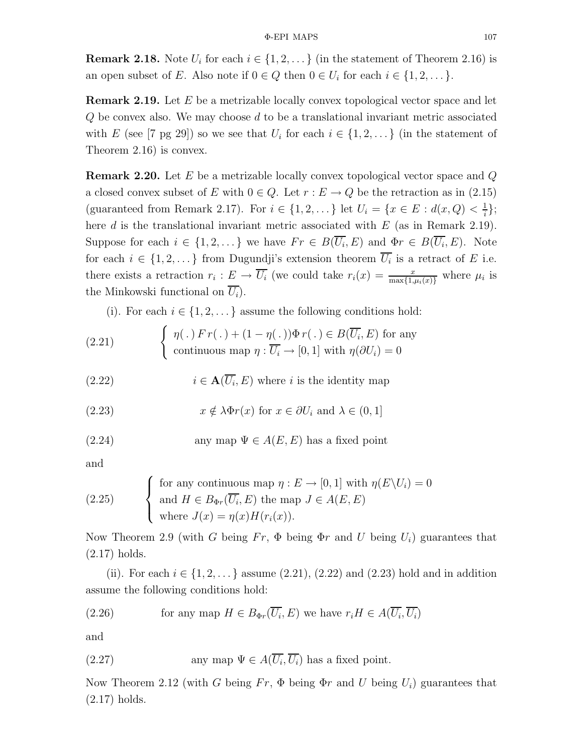**Remark 2.18.** Note  $U_i$  for each  $i \in \{1, 2, \ldots\}$  (in the statement of Theorem 2.16) is an open subset of E. Also note if  $0 \in Q$  then  $0 \in U_i$  for each  $i \in \{1, 2, \dots\}$ .

**Remark 2.19.** Let  $E$  be a metrizable locally convex topological vector space and let  $Q$  be convex also. We may choose  $d$  to be a translational invariant metric associated with E (see [7 pg 29]) so we see that  $U_i$  for each  $i \in \{1, 2, \dots\}$  (in the statement of Theorem 2.16) is convex.

**Remark 2.20.** Let E be a metrizable locally convex topological vector space and  $Q$ a closed convex subset of E with  $0 \in Q$ . Let  $r : E \to Q$  be the retraction as in (2.15) (guaranteed from Remark 2.17). For  $i \in \{1, 2, \dots\}$  let  $U_i = \{x \in E : d(x, Q) < \frac{1}{i}\}$  $\frac{1}{i}$ ; here d is the translational invariant metric associated with  $E$  (as in Remark 2.19). Suppose for each  $i \in \{1, 2, \dots\}$  we have  $Fr \in B(U_i, E)$  and  $\Phi r \in B(U_i, E)$ . Note for each  $i \in \{1, 2, \ldots\}$  from Dugundji's extension theorem  $U_i$  is a retract of E i.e. there exists a retraction  $r_i: E \to \overline{U_i}$  (we could take  $r_i(x) = \frac{x}{\max\{1,\mu_i(x)\}}$  where  $\mu_i$  is the Minkowski functional on  $U_i$ ).

(i). For each  $i \in \{1, 2, \dots\}$  assume the following conditions hold:

(2.21) 
$$
\begin{cases} \eta(.) Fr(.) + (1 - \eta(.)) \Phi r(.) \in B(\overline{U_i}, E) \text{ for any} \\ \text{continuous map } \eta : \overline{U_i} \to [0, 1] \text{ with } \eta(\partial U_i) = 0 \end{cases}
$$

(2.22) 
$$
i \in \mathbf{A}(\overline{U_i}, E)
$$
 where *i* is the identity map

(2.23) 
$$
x \notin \lambda \Phi r(x) \text{ for } x \in \partial U_i \text{ and } \lambda \in (0, 1]
$$

(2.24) any map 
$$
\Psi \in A(E, E)
$$
 has a fixed point

and

(2.25) 
$$
\begin{cases} \text{for any continuous map } \eta : E \to [0, 1] \text{ with } \eta(E \setminus U_i) = 0 \\ \text{and } H \in B_{\Phi r}(\overline{U_i}, E) \text{ the map } J \in A(E, E) \\ \text{where } J(x) = \eta(x)H(r_i(x)). \end{cases}
$$

Now Theorem 2.9 (with G being  $Fr$ ,  $\Phi$  being  $\Phi r$  and U being  $U_i$ ) guarantees that (2.17) holds.

(ii). For each  $i \in \{1, 2, ...\}$  assume  $(2.21), (2.22)$  and  $(2.23)$  hold and in addition assume the following conditions hold:

(2.26) for any map 
$$
H \in B_{\Phi r}(\overline{U_i}, E)
$$
 we have  $r_i H \in A(\overline{U_i}, \overline{U_i})$ 

and

(2.27) any map 
$$
\Psi \in A(\overline{U_i}, \overline{U_i})
$$
 has a fixed point.

Now Theorem 2.12 (with G being  $Fr$ ,  $\Phi$  being  $\Phi r$  and U being  $U_i$ ) guarantees that (2.17) holds.